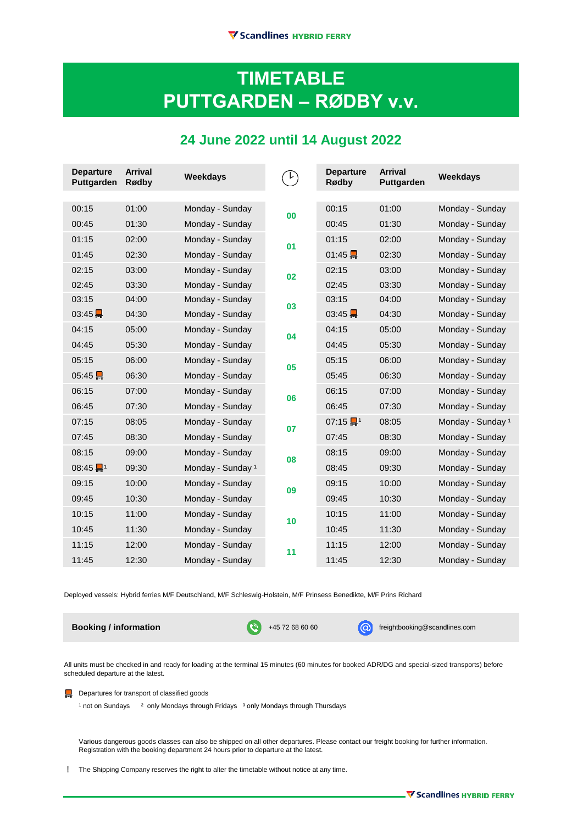## **TIMETABLE PUTTGARDEN ‒ RØDBY v.v.**

## **24 June 2022 until 14 August 2022**

| <b>Departure</b><br>Puttgarden | <b>Arrival</b><br>Rødby | Weekdays          |    | <b>Departure</b><br>Rødby           | <b>Arrival</b><br>Puttgarden | Weekdays                     |
|--------------------------------|-------------------------|-------------------|----|-------------------------------------|------------------------------|------------------------------|
|                                |                         |                   |    |                                     |                              |                              |
| 00:15                          | 01:00                   | Monday - Sunday   | 00 | 00:15                               | 01:00                        | Monday - Sunday              |
| 00:45                          | 01:30                   | Monday - Sunday   |    | 00:45                               | 01:30                        | Monday - Sunday              |
| 01:15                          | 02:00                   | Monday - Sunday   | 01 | 01:15                               | 02:00                        | Monday - Sunday              |
| 01:45                          | 02:30                   | Monday - Sunday   |    | 01:45                               | 02:30                        | Monday - Sunday              |
| 02:15                          | 03:00                   | Monday - Sunday   | 02 | 02:15                               | 03:00                        | Monday - Sunday              |
| 02:45                          | 03:30                   | Monday - Sunday   |    | 02:45                               | 03:30                        | Monday - Sunday              |
| 03:15                          | 04:00                   | Monday - Sunday   | 03 | 03:15                               | 04:00                        | Monday - Sunday              |
| $03:45\frac{1}{11}$            | 04:30                   | Monday - Sunday   |    | $03:45 \frac{1}{111}$               | 04:30                        | Monday - Sunday              |
| 04:15                          | 05:00                   | Monday - Sunday   | 04 | 04:15                               | 05:00                        | Monday - Sunday              |
| 04:45                          | 05:30                   | Monday - Sunday   |    | 04:45                               | 05:30                        | Monday - Sunday              |
| 05:15                          | 06:00                   | Monday - Sunday   | 05 | 05:15                               | 06:00                        | Monday - Sunday              |
| 05:45                          | 06:30                   | Monday - Sunday   |    | 05:45                               | 06:30                        | Monday - Sunday              |
| 06:15                          | 07:00                   | Monday - Sunday   | 06 | 06:15                               | 07:00                        | Monday - Sunday              |
| 06:45                          | 07:30                   | Monday - Sunday   |    | 06:45                               | 07:30                        | Monday - Sunday              |
| 07:15                          | 08:05                   | Monday - Sunday   | 07 | $07:15$ $\frac{1}{10}$ <sup>1</sup> | 08:05                        | Monday - Sunday <sup>1</sup> |
| 07:45                          | 08:30                   | Monday - Sunday   |    | 07:45                               | 08:30                        | Monday - Sunday              |
| 08:15                          | 09:00                   | Monday - Sunday   | 08 | 08:15                               | 09:00                        | Monday - Sunday              |
| $08:45$ $1^1$                  | 09:30                   | Monday - Sunday 1 |    | 08:45                               | 09:30                        | Monday - Sunday              |
| 09:15                          | 10:00                   | Monday - Sunday   | 09 | 09:15                               | 10:00                        | Monday - Sunday              |
| 09:45                          | 10:30                   | Monday - Sunday   |    | 09:45                               | 10:30                        | Monday - Sunday              |
| 10:15                          | 11:00                   | Monday - Sunday   | 10 | 10:15                               | 11:00                        | Monday - Sunday              |
| 10:45                          | 11:30                   | Monday - Sunday   |    | 10:45                               | 11:30                        | Monday - Sunday              |
| 11:15                          | 12:00                   | Monday - Sunday   | 11 | 11:15                               | 12:00                        | Monday - Sunday              |
| 11:45                          | 12:30                   | Monday - Sunday   |    | 11:45                               | 12:30                        | Monday - Sunday              |

Deployed vessels: Hybrid ferries M/F Deutschland, M/F Schleswig-Holstein, M/F Prinsess Benedikte, M/F Prins Richard

**Booking / information** +45 72 68 60 60 freightbooking@scandlines.com

All units must be checked in and ready for loading at the terminal 15 minutes (60 minutes for booked ADR/DG and special-sized transports) before scheduled departure at the latest.

Departures for transport of classified goods

<sup>1</sup> not on Sundays <sup>2</sup> only Mondays through Fridays <sup>3</sup> only Mondays through Thursdays

Various dangerous goods classes can also be shipped on all other departures. Please contact our freight booking for further information. Registration with the booking department 24 hours prior to departure at the latest.

The Shipping Company reserves the right to alter the timetable without notice at any time. !